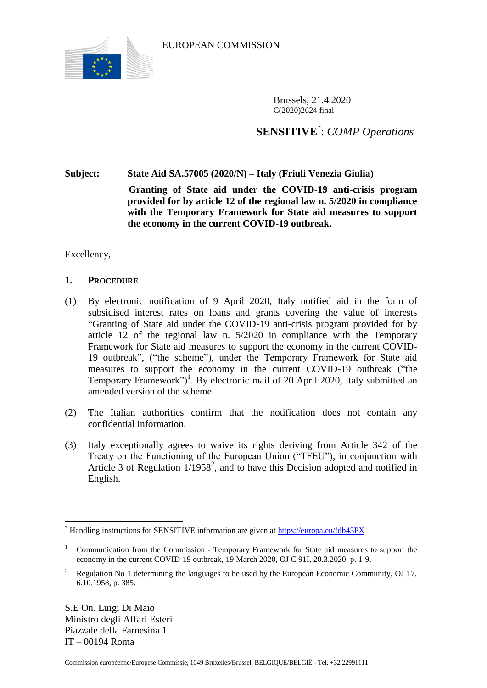

EUROPEAN COMMISSION

Brussels, 21.4.2020 C(2020)2624 final

**SENSITIVE**\* : *COMP Operations*

**Subject: State Aid SA.57005 (2020/N) – Italy (Friuli Venezia Giulia)**

**Granting of State aid under the COVID-19 anti-crisis program provided for by article 12 of the regional law n. 5/2020 in compliance with the Temporary Framework for State aid measures to support the economy in the current COVID-19 outbreak.**

Excellency,

## **1. PROCEDURE**

- (1) By electronic notification of 9 April 2020, Italy notified aid in the form of subsidised interest rates on loans and grants covering the value of interests "Granting of State aid under the COVID-19 anti-crisis program provided for by article 12 of the regional law n. 5/2020 in compliance with the Temporary Framework for State aid measures to support the economy in the current COVID-19 outbreak", ("the scheme"), under the Temporary Framework for State aid measures to support the economy in the current COVID-19 outbreak ("the Temporary Framework")<sup>1</sup>. By electronic mail of 20 April 2020, Italy submitted an amended version of the scheme.
- (2) The Italian authorities confirm that the notification does not contain any confidential information.
- (3) Italy exceptionally agrees to waive its rights deriving from Article 342 of the Treaty on the Functioning of the European Union ("TFEU"), in conjunction with Article 3 of Regulation  $1/1958^2$ , and to have this Decision adopted and notified in English.

S.E On. Luigi Di Maio Ministro degli Affari Esteri Piazzale della Farnesina 1 IT – 00194 Roma

 $\overline{a}$ 

Handling instructions for SENSITIVE information are given at<https://europa.eu/!db43PX>

<sup>1</sup> Communication from the Commission - Temporary Framework for State aid measures to support the economy in the current COVID-19 outbreak, 19 March 2020, OJ C 91I, 20.3.2020, p. 1-9.

<sup>2</sup> Regulation No 1 determining the languages to be used by the European Economic Community, OJ 17, 6.10.1958, p. 385.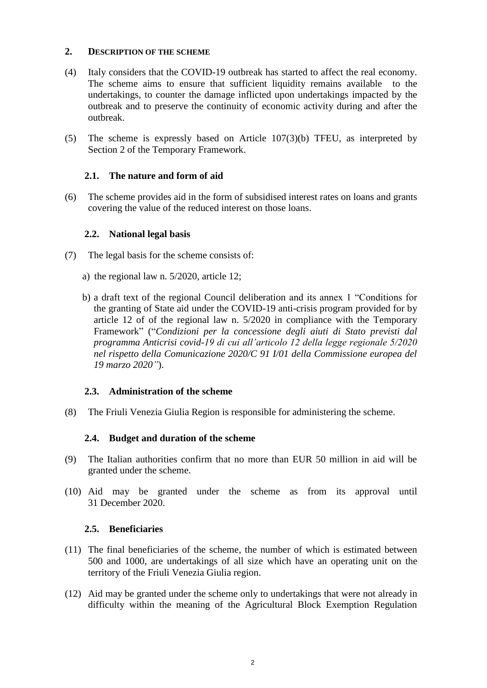### **2. DESCRIPTION OF THE SCHEME**

- (4) Italy considers that the COVID-19 outbreak has started to affect the real economy. The scheme aims to ensure that sufficient liquidity remains available to the undertakings, to counter the damage inflicted upon undertakings impacted by the outbreak and to preserve the continuity of economic activity during and after the outbreak.
- (5) The scheme is expressly based on Article 107(3)(b) TFEU, as interpreted by Section 2 of the Temporary Framework.

## **2.1. The nature and form of aid**

<span id="page-1-2"></span>(6) The scheme provides aid in the form of subsidised interest rates on loans and grants covering the value of the reduced interest on those loans.

### **2.2. National legal basis**

- <span id="page-1-1"></span>(7) The legal basis for the scheme consists of:
	- a) the regional law n. 5/2020, article 12;
	- b) a draft text of the regional Council deliberation and its annex 1 "Conditions for the granting of State aid under the COVID-19 anti-crisis program provided for by article 12 of of the regional law n. 5/2020 in compliance with the Temporary Framework" ("*Condizioni per la concessione degli aiuti di Stato previsti dal programma Anticrisi covid-19 di cui all'articolo 12 della legge regionale 5/2020 nel rispetto della Comunicazione 2020/C 91 I/01 della Commissione europea del 19 marzo 2020"*).

### **2.3. Administration of the scheme**

<span id="page-1-0"></span>(8) The Friuli Venezia Giulia Region is responsible for administering the scheme.

#### **2.4. Budget and duration of the scheme**

- <span id="page-1-3"></span>(9) The Italian authorities confirm that no more than EUR 50 million in aid will be granted under the scheme.
- <span id="page-1-5"></span>(10) Aid may be granted under the scheme as from its approval until 31 December 2020.

#### **2.5. Beneficiaries**

- (11) The final beneficiaries of the scheme, the number of which is estimated between 500 and 1000, are undertakings of all size which have an operating unit on the territory of the Friuli Venezia Giulia region.
- <span id="page-1-4"></span>(12) Aid may be granted under the scheme only to undertakings that were not already in difficulty within the meaning of the Agricultural Block Exemption Regulation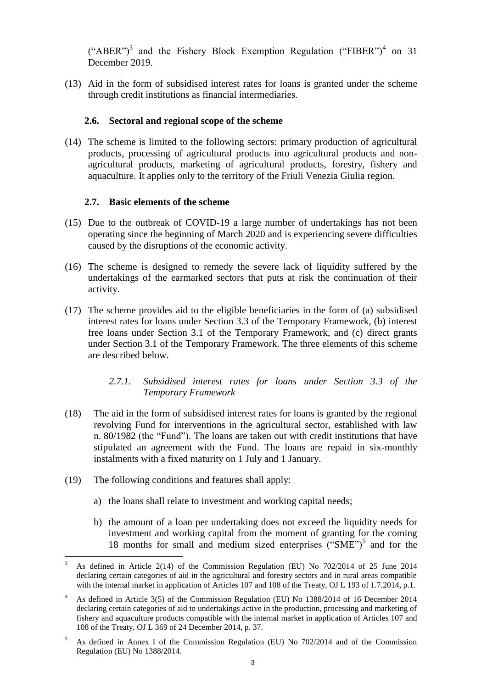("ABER")<sup>3</sup> and the Fishery Block Exemption Regulation ("FIBER")<sup>4</sup> on 31 December 2019.

(13) Aid in the form of subsidised interest rates for loans is granted under the scheme through credit institutions as financial intermediaries*.*

#### **2.6. Sectoral and regional scope of the scheme**

<span id="page-2-0"></span>(14) The scheme is limited to the following sectors: primary production of agricultural products, processing of agricultural products into agricultural products and nonagricultural products, marketing of agricultural products, forestry, fishery and aquaculture. It applies only to the territory of the Friuli Venezia Giulia region.

#### **2.7. Basic elements of the scheme**

- (15) Due to the outbreak of COVID-19 a large number of undertakings has not been operating since the beginning of March 2020 and is experiencing severe difficulties caused by the disruptions of the economic activity.
- (16) The scheme is designed to remedy the severe lack of liquidity suffered by the undertakings of the earmarked sectors that puts at risk the continuation of their activity.
- <span id="page-2-1"></span>(17) The scheme provides aid to the eligible beneficiaries in the form of (a) subsidised interest rates for loans under Section 3.3 of the Temporary Framework, (b) interest free loans under Section 3.1 of the Temporary Framework, and (c) direct grants under Section 3.1 of the Temporary Framework. The three elements of this scheme are described below.

## *2.7.1. Subsidised interest rates for loans under Section 3.3 of the Temporary Framework*

- (18) The aid in the form of subsidised interest rates for loans is granted by the regional revolving Fund for interventions in the agricultural sector, established with law n. 80/1982 (the "Fund"). The loans are taken out with credit institutions that have stipulated an agreement with the Fund. The loans are repaid in six-monthly instalments with a fixed maturity on 1 July and 1 January.
- <span id="page-2-2"></span>(19) The following conditions and features shall apply:
	- a) the loans shall relate to investment and working capital needs;
	- b) the amount of a loan per undertaking does not exceed the liquidity needs for investment and working capital from the moment of granting for the coming 18 months for small and medium sized enterprises ("SME")<sup>5</sup> and for the

 $\overline{a}$ <sup>3</sup> As defined in Article 2(14) of the Commission Regulation (EU) No 702/2014 of 25 June 2014 declaring certain categories of aid in the agricultural and forestry sectors and in rural areas compatible with the internal market in application of Articles 107 and 108 of the Treaty, OJ L 193 of 1.7.2014, p.1.

<sup>&</sup>lt;sup>4</sup> As defined in Article 3(5) of the Commission Regulation (EU) No 1388/2014 of 16 December 2014 declaring certain categories of aid to undertakings active in the production, processing and marketing of fishery and aquaculture products compatible with the internal market in application of Articles 107 and 108 of the Treaty, OJ L 369 of 24 December 2014, p. 37.

<sup>5</sup> As defined in Annex I of the Commission Regulation (EU) No 702/2014 and of the Commission Regulation (EU) No 1388/2014.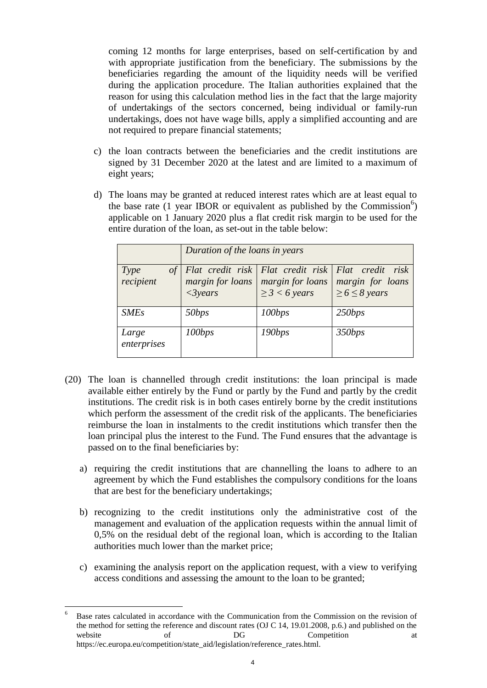coming 12 months for large enterprises, based on self-certification by and with appropriate justification from the beneficiary. The submissions by the beneficiaries regarding the amount of the liquidity needs will be verified during the application procedure. The Italian authorities explained that the reason for using this calculation method lies in the fact that the large majority of undertakings of the sectors concerned, being individual or family-run undertakings, does not have wage bills, apply a simplified accounting and are not required to prepare financial statements;

- c) the loan contracts between the beneficiaries and the credit institutions are signed by 31 December 2020 at the latest and are limited to a maximum of eight years;
- d) The loans may be granted at reduced interest rates which are at least equal to the base rate  $(1 \text{ year IBOR or equivalent as published by the Commission}^6)$ applicable on 1 January 2020 plus a flat credit risk margin to be used for the entire duration of the loan, as set-out in the table below:

|                         | Duration of the loans in years |                                        |                                                                                                     |
|-------------------------|--------------------------------|----------------------------------------|-----------------------------------------------------------------------------------------------------|
| Type<br>of<br>recipient | margin for loans<br>$<3$ years | margin for loans<br>$\geq$ 3 < 6 years | Flat credit risk   Flat credit risk   Flat credit risk<br>margin for loans<br>$\geq 6 \leq 8$ years |
| <b>SMEs</b>             | 50bps                          | 100bps                                 | 250bps                                                                                              |
| Large<br>enterprises    | 100bps                         | 190bps                                 | 350bps                                                                                              |

- <span id="page-3-0"></span>(20) The loan is channelled through credit institutions: the loan principal is made available either entirely by the Fund or partly by the Fund and partly by the credit institutions. The credit risk is in both cases entirely borne by the credit institutions which perform the assessment of the credit risk of the applicants. The beneficiaries reimburse the loan in instalments to the credit institutions which transfer then the loan principal plus the interest to the Fund. The Fund ensures that the advantage is passed on to the final beneficiaries by:
	- a) requiring the credit institutions that are channelling the loans to adhere to an agreement by which the Fund establishes the compulsory conditions for the loans that are best for the beneficiary undertakings;
	- b) recognizing to the credit institutions only the administrative cost of the management and evaluation of the application requests within the annual limit of 0,5% on the residual debt of the regional loan, which is according to the Italian authorities much lower than the market price;
	- c) examining the analysis report on the application request, with a view to verifying access conditions and assessing the amount to the loan to be granted;

 $\overline{6}$ <sup>6</sup> Base rates calculated in accordance with the Communication from the Commission on the revision of the method for setting the reference and discount rates (OJ C 14, 19.01.2008, p.6.) and published on the website of DG Competition at https://ec.europa.eu/competition/state\_aid/legislation/reference\_rates.html.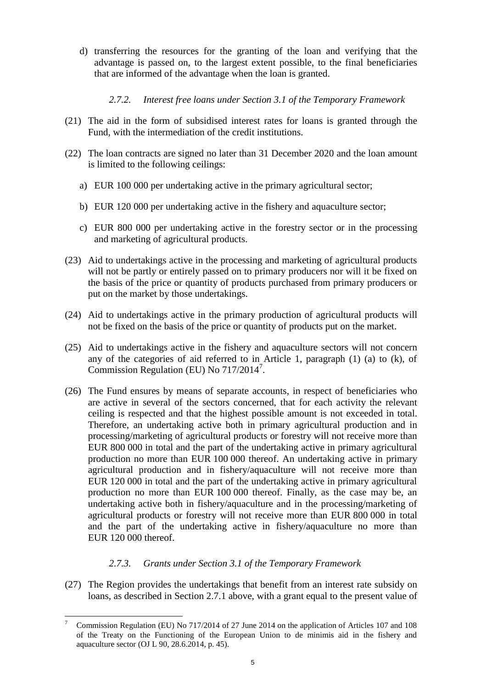d) transferring the resources for the granting of the loan and verifying that the advantage is passed on, to the largest extent possible, to the final beneficiaries that are informed of the advantage when the loan is granted.

# *2.7.2. Interest free loans under Section 3.1 of the Temporary Framework*

- (21) The aid in the form of subsidised interest rates for loans is granted through the Fund, with the intermediation of the credit institutions.
- <span id="page-4-2"></span>(22) The loan contracts are signed no later than 31 December 2020 and the loan amount is limited to the following ceilings:
	- a) EUR 100 000 per undertaking active in the primary agricultural sector;
	- b) EUR 120 000 per undertaking active in the fishery and aquaculture sector;
	- c) EUR 800 000 per undertaking active in the forestry sector or in the processing and marketing of agricultural products.
- <span id="page-4-0"></span>(23) Aid to undertakings active in the processing and marketing of agricultural products will not be partly or entirely passed on to primary producers nor will it be fixed on the basis of the price or quantity of products purchased from primary producers or put on the market by those undertakings.
- <span id="page-4-4"></span>(24) Aid to undertakings active in the primary production of agricultural products will not be fixed on the basis of the price or quantity of products put on the market.
- <span id="page-4-5"></span>(25) Aid to undertakings active in the fishery and aquaculture sectors will not concern any of the categories of aid referred to in Article 1, paragraph (1) (a) to (k), of Commission Regulation (EU) No 717/2014<sup>7</sup> .
- <span id="page-4-1"></span>(26) The Fund ensures by means of separate accounts, in respect of beneficiaries who are active in several of the sectors concerned, that for each activity the relevant ceiling is respected and that the highest possible amount is not exceeded in total. Therefore, an undertaking active both in primary agricultural production and in processing/marketing of agricultural products or forestry will not receive more than EUR 800 000 in total and the part of the undertaking active in primary agricultural production no more than EUR 100 000 thereof. An undertaking active in primary agricultural production and in fishery/aquaculture will not receive more than EUR 120 000 in total and the part of the undertaking active in primary agricultural production no more than EUR 100 000 thereof. Finally, as the case may be, an undertaking active both in fishery/aquaculture and in the processing/marketing of agricultural products or forestry will not receive more than EUR 800 000 in total and the part of the undertaking active in fishery/aquaculture no more than EUR 120 000 thereof.

# *2.7.3. Grants under Section 3.1 of the Temporary Framework*

<span id="page-4-3"></span>(27) The Region provides the undertakings that benefit from an interest rate subsidy on loans, as described in Section 2.7.1 above, with a grant equal to the present value of

 $\overline{a}$ <sup>7</sup> Commission Regulation (EU) No 717/2014 of 27 June 2014 on the application of Articles 107 and 108 of the Treaty on the Functioning of the European Union to de minimis aid in the fishery and aquaculture sector (OJ L 90, 28.6.2014, p. 45).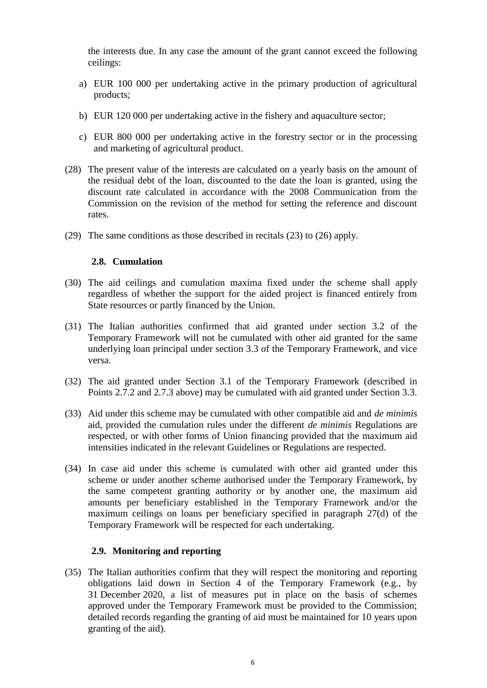the interests due. In any case the amount of the grant cannot exceed the following ceilings:

- a) EUR 100 000 per undertaking active in the primary production of agricultural products;
- b) EUR 120 000 per undertaking active in the fishery and aquaculture sector;
- c) EUR 800 000 per undertaking active in the forestry sector or in the processing and marketing of agricultural product.
- (28) The present value of the interests are calculated on a yearly basis on the amount of the residual debt of the loan, discounted to the date the loan is granted, using the discount rate calculated in accordance with the 2008 Communication from the Commission on the revision of the method for setting the reference and discount rates.
- (29) The same conditions as those described in recitals [\(23\)](#page-4-0) to [\(26\)](#page-4-1) apply.

## **2.8. Cumulation**

- <span id="page-5-1"></span>(30) The aid ceilings and cumulation maxima fixed under the scheme shall apply regardless of whether the support for the aided project is financed entirely from State resources or partly financed by the Union.
- (31) The Italian authorities confirmed that aid granted under section 3.2 of the Temporary Framework will not be cumulated with other aid granted for the same underlying loan principal under section 3.3 of the Temporary Framework, and vice versa.
- (32) The aid granted under Section 3.1 of the Temporary Framework (described in Points 2.7.2 and 2.7.3 above) may be cumulated with aid granted under Section 3.3.
- (33) Aid under this scheme may be cumulated with other compatible aid and *de minimis* aid, provided the cumulation rules under the different *de minimis* Regulations are respected, or with other forms of Union financing provided that the maximum aid intensities indicated in the relevant Guidelines or Regulations are respected.
- <span id="page-5-2"></span>(34) In case aid under this scheme is cumulated with other aid granted under this scheme or under another scheme authorised under the Temporary Framework, by the same competent granting authority or by another one, the maximum aid amounts per beneficiary established in the Temporary Framework and/or the maximum ceilings on loans per beneficiary specified in paragraph 27(d) of the Temporary Framework will be respected for each undertaking.

### **2.9. Monitoring and reporting**

<span id="page-5-0"></span>(35) The Italian authorities confirm that they will respect the monitoring and reporting obligations laid down in Section 4 of the Temporary Framework (e.g., by 31 December 2020, a list of measures put in place on the basis of schemes approved under the Temporary Framework must be provided to the Commission; detailed records regarding the granting of aid must be maintained for 10 years upon granting of the aid).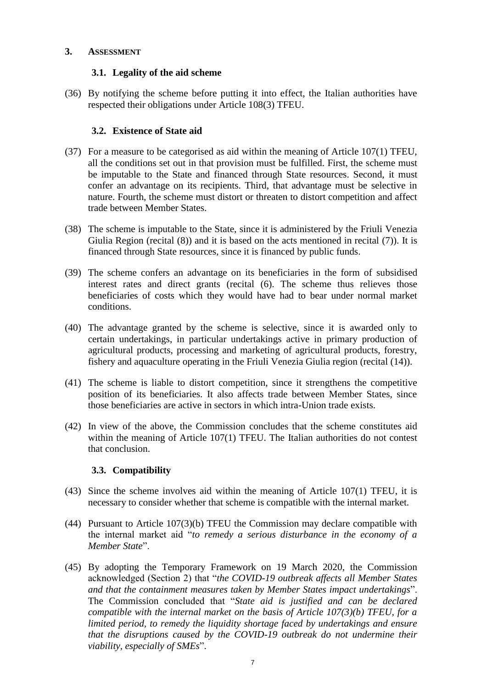### **3. ASSESSMENT**

# **3.1. Legality of the aid scheme**

(36) By notifying the scheme before putting it into effect, the Italian authorities have respected their obligations under Article 108(3) TFEU.

## **3.2. Existence of State aid**

- (37) For a measure to be categorised as aid within the meaning of Article 107(1) TFEU, all the conditions set out in that provision must be fulfilled. First, the scheme must be imputable to the State and financed through State resources. Second, it must confer an advantage on its recipients. Third, that advantage must be selective in nature. Fourth, the scheme must distort or threaten to distort competition and affect trade between Member States.
- (38) The scheme is imputable to the State, since it is administered by the Friuli Venezia Giulia Region (recital [\(8\)\)](#page-1-0) and it is based on the acts mentioned in recital [\(7\)\)](#page-1-1). It is financed through State resources, since it is financed by public funds.
- (39) The scheme confers an advantage on its beneficiaries in the form of subsidised interest rates and direct grants (recital [\(6\).](#page-1-2) The scheme thus relieves those beneficiaries of costs which they would have had to bear under normal market conditions.
- (40) The advantage granted by the scheme is selective, since it is awarded only to certain undertakings, in particular undertakings active in primary production of agricultural products, processing and marketing of agricultural products, forestry, fishery and aquaculture operating in the Friuli Venezia Giulia region (recital [\(14\)\)](#page-2-0).
- (41) The scheme is liable to distort competition, since it strengthens the competitive position of its beneficiaries. It also affects trade between Member States, since those beneficiaries are active in sectors in which intra-Union trade exists.
- (42) In view of the above, the Commission concludes that the scheme constitutes aid within the meaning of Article 107(1) TFEU. The Italian authorities do not contest that conclusion.

# **3.3. Compatibility**

- (43) Since the scheme involves aid within the meaning of Article 107(1) TFEU, it is necessary to consider whether that scheme is compatible with the internal market.
- (44) Pursuant to Article 107(3)(b) TFEU the Commission may declare compatible with the internal market aid "*to remedy a serious disturbance in the economy of a Member State*".
- (45) By adopting the Temporary Framework on 19 March 2020, the Commission acknowledged (Section 2) that "*the COVID-19 outbreak affects all Member States and that the containment measures taken by Member States impact undertakings*". The Commission concluded that "*State aid is justified and can be declared compatible with the internal market on the basis of Article 107(3)(b) TFEU, for a limited period, to remedy the liquidity shortage faced by undertakings and ensure that the disruptions caused by the COVID-19 outbreak do not undermine their viability, especially of SMEs*".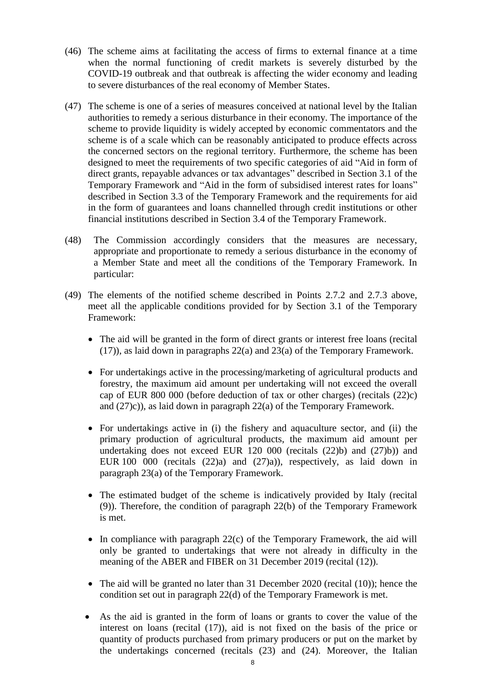- (46) The scheme aims at facilitating the access of firms to external finance at a time when the normal functioning of credit markets is severely disturbed by the COVID-19 outbreak and that outbreak is affecting the wider economy and leading to severe disturbances of the real economy of Member States.
- (47) The scheme is one of a series of measures conceived at national level by the Italian authorities to remedy a serious disturbance in their economy. The importance of the scheme to provide liquidity is widely accepted by economic commentators and the scheme is of a scale which can be reasonably anticipated to produce effects across the concerned sectors on the regional territory. Furthermore, the scheme has been designed to meet the requirements of two specific categories of aid "Aid in form of direct grants, repayable advances or tax advantages" described in Section 3.1 of the Temporary Framework and "Aid in the form of subsidised interest rates for loans" described in Section 3.3 of the Temporary Framework and the requirements for aid in the form of guarantees and loans channelled through credit institutions or other financial institutions described in Section 3.4 of the Temporary Framework.
- (48) The Commission accordingly considers that the measures are necessary, appropriate and proportionate to remedy a serious disturbance in the economy of a Member State and meet all the conditions of the Temporary Framework. In particular:
- (49) The elements of the notified scheme described in Points 2.7.2 and 2.7.3 above, meet all the applicable conditions provided for by Section 3.1 of the Temporary Framework:
	- The aid will be granted in the form of direct grants or interest free loans (recital [\(17\)\)](#page-2-1), as laid down in paragraphs 22(a) and 23(a) of the Temporary Framework.
	- For undertakings active in the processing/marketing of agricultural products and forestry, the maximum aid amount per undertaking will not exceed the overall cap of EUR 800 000 (before deduction of tax or other charges) (recitals [\(22\)c\)](#page-4-2) and [\(27\)c\)\)](#page-4-3), as laid down in paragraph 22(a) of the Temporary Framework.
	- For undertakings active in (i) the fishery and aquaculture sector, and (ii) the primary production of agricultural products, the maximum aid amount per undertaking does not exceed EUR 120 000 (recitals [\(22\)b\)](#page-4-2) and [\(27\)b\)\)](#page-4-3) and EUR 100 000 (recitals [\(22\)a\)](#page-4-2) and [\(27\)a\)\)](#page-4-3), respectively, as laid down in paragraph 23(a) of the Temporary Framework.
	- The estimated budget of the scheme is indicatively provided by Italy (recital [\(9\)\)](#page-1-3). Therefore, the condition of paragraph 22(b) of the Temporary Framework is met.
	- $\bullet$  In compliance with paragraph 22(c) of the Temporary Framework, the aid will only be granted to undertakings that were not already in difficulty in the meaning of the ABER and FIBER on 31 December 2019 (recital [\(12\)\)](#page-1-4).
	- The aid will be granted no later than 31 December 2020 (recital [\(10\)\)](#page-1-5); hence the condition set out in paragraph 22(d) of the Temporary Framework is met.
	- As the aid is granted in the form of loans or grants to cover the value of the interest on loans (recital [\(17\)\)](#page-2-1), aid is not fixed on the basis of the price or quantity of products purchased from primary producers or put on the market by the undertakings concerned (recitals [\(23\)](#page-4-0) and [\(24\).](#page-4-4) Moreover, the Italian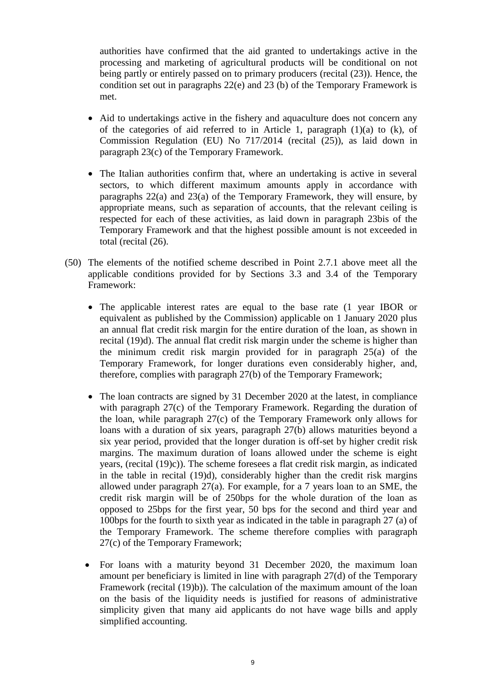authorities have confirmed that the aid granted to undertakings active in the processing and marketing of agricultural products will be conditional on not being partly or entirely passed on to primary producers (recital [\(23\)\)](#page-4-0). Hence, the condition set out in paragraphs 22(e) and 23 (b) of the Temporary Framework is met.

- Aid to undertakings active in the fishery and aquaculture does not concern any of the categories of aid referred to in Article 1, paragraph  $(1)(a)$  to  $(k)$ , of Commission Regulation (EU) No 717/2014 (recital [\(25\)\)](#page-4-5), as laid down in paragraph 23(c) of the Temporary Framework.
- The Italian authorities confirm that, where an undertaking is active in several sectors, to which different maximum amounts apply in accordance with paragraphs 22(a) and 23(a) of the Temporary Framework, they will ensure, by appropriate means, such as separation of accounts, that the relevant ceiling is respected for each of these activities, as laid down in paragraph 23bis of the Temporary Framework and that the highest possible amount is not exceeded in total (recital [\(26\).](#page-4-1)
- (50) The elements of the notified scheme described in Point 2.7.1 above meet all the applicable conditions provided for by Sections 3.3 and 3.4 of the Temporary Framework:
	- The applicable interest rates are equal to the base rate (1 year IBOR or equivalent as published by the Commission) applicable on 1 January 2020 plus an annual flat credit risk margin for the entire duration of the loan, as shown in recital [\(19\)d\).](#page-2-2) The annual flat credit risk margin under the scheme is higher than the minimum credit risk margin provided for in paragraph 25(a) of the Temporary Framework, for longer durations even considerably higher, and, therefore, complies with paragraph 27(b) of the Temporary Framework;
	- The loan contracts are signed by 31 December 2020 at the latest, in compliance with paragraph 27(c) of the Temporary Framework. Regarding the duration of the loan, while paragraph 27(c) of the Temporary Framework only allows for loans with a duration of six years, paragraph 27(b) allows maturities beyond a six year period, provided that the longer duration is off-set by higher credit risk margins. The maximum duration of loans allowed under the scheme is eight years, (recital [\(19\)c\)\)](#page-2-2). The scheme foresees a flat credit risk margin, as indicated in the table in recital [\(19\)d\),](#page-2-2) considerably higher than the credit risk margins allowed under paragraph 27(a). For example, for a 7 years loan to an SME, the credit risk margin will be of 250bps for the whole duration of the loan as opposed to 25bps for the first year, 50 bps for the second and third year and 100bps for the fourth to sixth year as indicated in the table in paragraph 27 (a) of the Temporary Framework. The scheme therefore complies with paragraph 27(c) of the Temporary Framework;
	- For loans with a maturity beyond 31 December 2020, the maximum loan amount per beneficiary is limited in line with paragraph 27(d) of the Temporary Framework (recital [\(19\)b\)\)](#page-2-2). The calculation of the maximum amount of the loan on the basis of the liquidity needs is justified for reasons of administrative simplicity given that many aid applicants do not have wage bills and apply simplified accounting.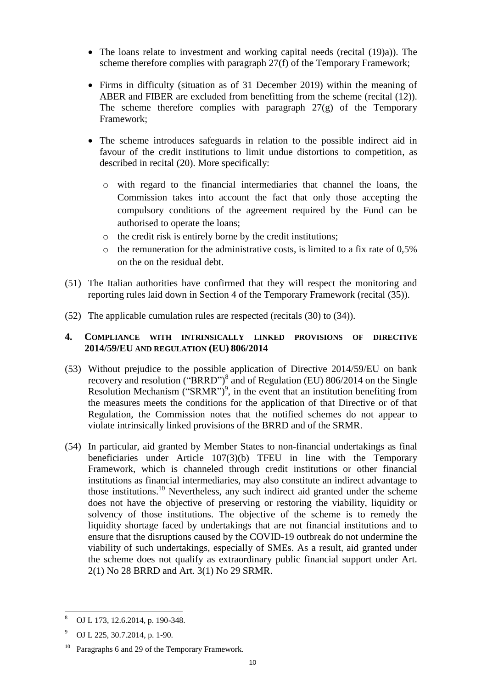- The loans relate to investment and working capital needs (recital [\(19\)a\)\)](#page-2-2). The scheme therefore complies with paragraph 27(f) of the Temporary Framework;
- Firms in difficulty (situation as of 31 December 2019) within the meaning of ABER and FIBER are excluded from benefitting from the scheme (recital [\(12\)\)](#page-1-4). The scheme therefore complies with paragraph  $27(g)$  of the Temporary Framework;
- The scheme introduces safeguards in relation to the possible indirect aid in favour of the credit institutions to limit undue distortions to competition, as described in recital [\(20\).](#page-3-0) More specifically:
	- o with regard to the financial intermediaries that channel the loans, the Commission takes into account the fact that only those accepting the compulsory conditions of the agreement required by the Fund can be authorised to operate the loans;
	- o the credit risk is entirely borne by the credit institutions;
	- $\circ$  the remuneration for the administrative costs, is limited to a fix rate of 0,5% on the on the residual debt.
- (51) The Italian authorities have confirmed that they will respect the monitoring and reporting rules laid down in Section 4 of the Temporary Framework (recital [\(35\)\)](#page-5-0).
- (52) The applicable cumulation rules are respected (recitals [\(30\)](#page-5-1) to [\(34\)\)](#page-5-2).

## **4. COMPLIANCE WITH INTRINSICALLY LINKED PROVISIONS OF DIRECTIVE 2014/59/EU AND REGULATION (EU) 806/2014**

- (53) Without prejudice to the possible application of Directive 2014/59/EU on bank recovery and resolution ("BRRD")<sup>8</sup> and of Regulation (EU) 806/2014 on the Single Resolution Mechanism ("SRMR")<sup>9</sup>, in the event that an institution benefiting from the measures meets the conditions for the application of that Directive or of that Regulation, the Commission notes that the notified schemes do not appear to violate intrinsically linked provisions of the BRRD and of the SRMR.
- (54) In particular, aid granted by Member States to non-financial undertakings as final beneficiaries under Article 107(3)(b) TFEU in line with the Temporary Framework, which is channeled through credit institutions or other financial institutions as financial intermediaries, may also constitute an indirect advantage to those institutions. <sup>10</sup> Nevertheless, any such indirect aid granted under the scheme does not have the objective of preserving or restoring the viability, liquidity or solvency of those institutions. The objective of the scheme is to remedy the liquidity shortage faced by undertakings that are not financial institutions and to ensure that the disruptions caused by the COVID-19 outbreak do not undermine the viability of such undertakings, especially of SMEs. As a result, aid granted under the scheme does not qualify as extraordinary public financial support under Art. 2(1) No 28 BRRD and Art. 3(1) No 29 SRMR.

 $\overline{a}$ <sup>8</sup> OJ L 173, 12.6.2014, p. 190-348.

<sup>9</sup> OJ L 225, 30.7.2014, p. 1-90.

<sup>&</sup>lt;sup>10</sup> Paragraphs 6 and 29 of the Temporary Framework.